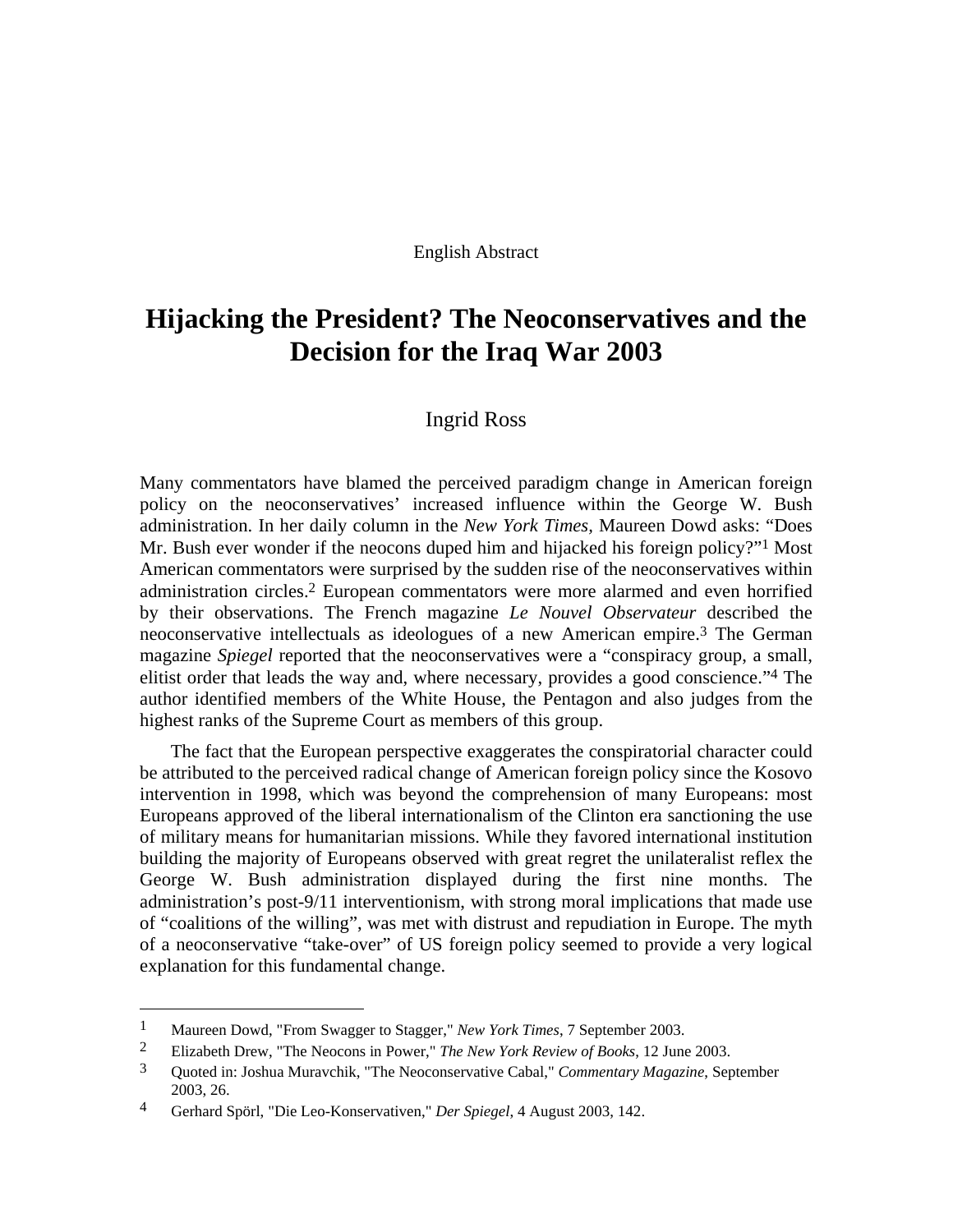#### English Abstract

# **Hijacking the President? The Neoconservatives and the Decision for the Iraq War 2003**

## Ingrid Ross

Many commentators have blamed the perceived paradigm change in American foreign policy on the neoconservatives' increased influence within the George W. Bush administration. In her daily column in the *New York Times,* Maureen Dowd asks: "Does Mr. Bush ever wonder if the neocons duped him and hijacked his foreign policy?"<sup>1</sup> Most American commentators were surprised by the sudden rise of the neoconservatives within administration circles[.2](#page-0-1) European commentators were more alarmed and even horrified by their observations. The French magazine *Le Nouvel Observateur* described the neoconservative intellectuals as ideologues of a new American empire.[3](#page-0-2) The German magazine *Spiegel* reported that the neoconservatives were a "conspiracy group, a small, elitist order that leads the way and, where necessary, provides a good conscience."[4](#page-0-3) The author identified members of the White House, the Pentagon and also judges from the highest ranks of the Supreme Court as members of this group.

The fact that the European perspective exaggerates the conspiratorial character could be attributed to the perceived radical change of American foreign policy since the Kosovo intervention in 1998, which was beyond the comprehension of many Europeans: most Europeans approved of the liberal internationalism of the Clinton era sanctioning the use of military means for humanitarian missions. While they favored international institution building the majority of Europeans observed with great regret the unilateralist reflex the George W. Bush administration displayed during the first nine months. The administration's post-9/11 interventionism, with strong moral implications that made use of "coalitions of the willing", was met with distrust and repudiation in Europe. The myth of a neoconservative "take-over" of US foreign policy seemed to provide a very logical explanation for this fundamental change.

<span id="page-0-0"></span><sup>1</sup> Maureen Dowd, "From Swagger to Stagger," *New York Times*, 7 September 2003.

<span id="page-0-1"></span><sup>2</sup> Elizabeth Drew, "The Neocons in Power," *The New York Review of Books*, 12 June 2003.

<span id="page-0-2"></span><sup>3</sup> Quoted in: Joshua Muravchik, "The Neoconservative Cabal," *Commentary Magazine*, September 2003, 26.

<span id="page-0-3"></span><sup>4</sup> Gerhard Spörl, "Die Leo-Konservativen," *Der Spiegel*, 4 August 2003, 142.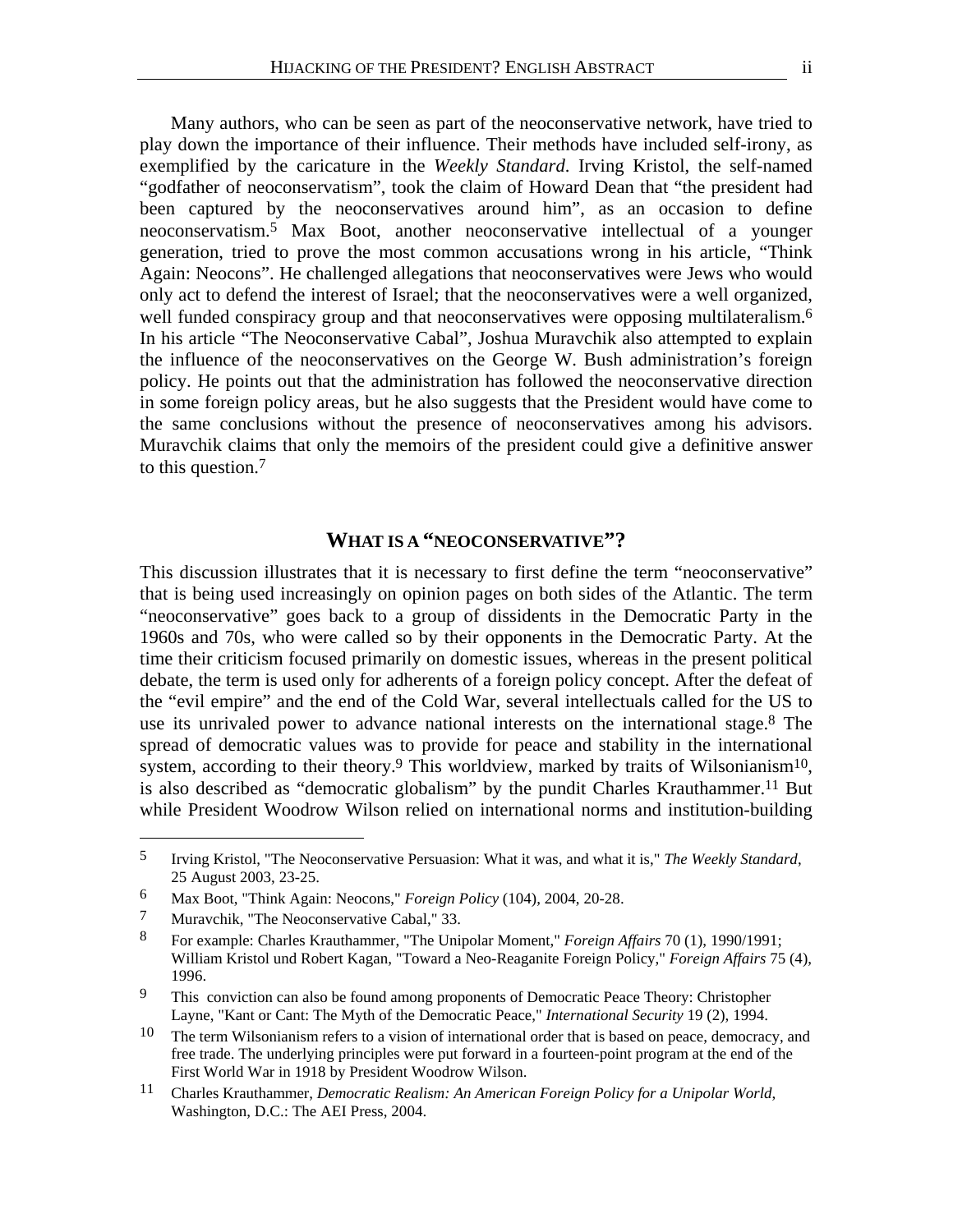Many authors, who can be seen as part of the neoconservative network, have tried to play down the importance of their influence. Their methods have included self-irony, as exemplified by the caricature in the *Weekly Standard*. Irving Kristol, the self-named "godfather of neoconservatism", took the claim of Howard Dean that "the president had been captured by the neoconservatives around him", as an occasion to define neoconservatism.[5](#page-1-0) Max Boot, another neoconservative intellectual of a younger generation, tried to prove the most common accusations wrong in his article, "Think Again: Neocons". He challenged allegations that neoconservatives were Jews who would only act to defend the interest of Israel; that the neoconservatives were a well organized, well funded conspiracy group and that neoconservatives were opposing multilateralism.<sup>[6](#page-1-1)</sup> In his article "The Neoconservative Cabal", Joshua Muravchik also attempted to explain the influence of the neoconservatives on the George W. Bush administration's foreign policy. He points out that the administration has followed the neoconservative direction in some foreign policy areas, but he also suggests that the President would have come to the same conclusions without the presence of neoconservatives among his advisors. Muravchik claims that only the memoirs of the president could give a definitive answer to this question.[7](#page-1-2) 

## **WHAT IS A "NEOCONSERVATIVE"?**

This discussion illustrates that it is necessary to first define the term "neoconservative" that is being used increasingly on opinion pages on both sides of the Atlantic. The term "neoconservative" goes back to a group of dissidents in the Democratic Party in the 1960s and 70s, who were called so by their opponents in the Democratic Party. At the time their criticism focused primarily on domestic issues, whereas in the present political debate, the term is used only for adherents of a foreign policy concept. After the defeat of the "evil empire" and the end of the Cold War, several intellectuals called for the US to use its unrivaled power to advance national interests on the international stage.<sup>8</sup> The spread of democratic values was to provide for peace and stability in the international system, according to their theory.<sup>9</sup> This worldview, marked by traits of Wilsonianism<sup>10</sup>, is also described as "democratic globalism" by the pundit Charles Krauthammer.<sup>11</sup> But while President Woodrow Wilson relied on international norms and institution-building

<span id="page-1-0"></span><sup>5</sup> Irving Kristol, "The Neoconservative Persuasion: What it was, and what it is," *The Weekly Standard*, 25 August 2003, 23-25.

<span id="page-1-1"></span><sup>6</sup> Max Boot, "Think Again: Neocons," *Foreign Policy* (104), 2004, 20-28.

<span id="page-1-2"></span><sup>7</sup> Muravchik, "The Neoconservative Cabal," 33.

<span id="page-1-3"></span><sup>8</sup> For example: Charles Krauthammer, "The Unipolar Moment," *Foreign Affairs* 70 (1), 1990/1991; William Kristol und Robert Kagan, "Toward a Neo-Reaganite Foreign Policy," *Foreign Affairs* 75 (4), 1996.

<span id="page-1-4"></span><sup>&</sup>lt;sup>9</sup> This conviction can also be found among proponents of Democratic Peace Theory: Christopher Layne, "Kant or Cant: The Myth of the Democratic Peace," *International Security* 19 (2), 1994.

<span id="page-1-5"></span> $10$  The term Wilsonianism refers to a vision of international order that is based on peace, democracy, and free trade. The underlying principles were put forward in a fourteen-point program at the end of the First World War in 1918 by President Woodrow Wilson.

<span id="page-1-6"></span><sup>11</sup> Charles Krauthammer, *Democratic Realism: An American Foreign Policy for a Unipolar World*, Washington, D.C.: The AEI Press, 2004.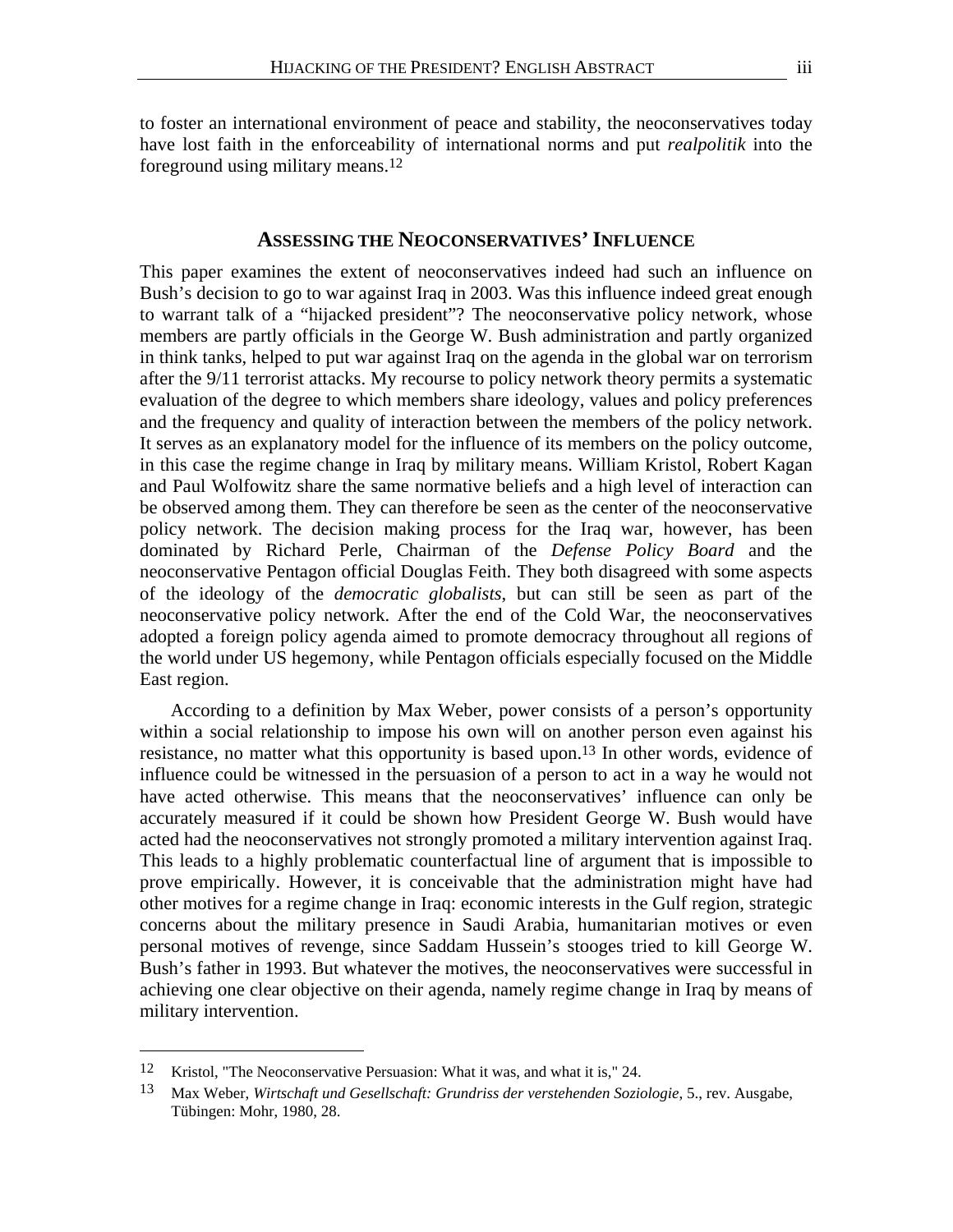to foster an international environment of peace and stability, the neoconservatives today have lost faith in the enforceability of international norms and put *realpolitik* into the foreground using military means.[12](#page-2-0) 

### **ASSESSING THE NEOCONSERVATIVES' INFLUENCE**

This paper examines the extent of neoconservatives indeed had such an influence on Bush's decision to go to war against Iraq in 2003. Was this influence indeed great enough to warrant talk of a "hijacked president"? The neoconservative policy network, whose members are partly officials in the George W. Bush administration and partly organized in think tanks, helped to put war against Iraq on the agenda in the global war on terrorism after the 9/11 terrorist attacks. My recourse to policy network theory permits a systematic evaluation of the degree to which members share ideology, values and policy preferences and the frequency and quality of interaction between the members of the policy network. It serves as an explanatory model for the influence of its members on the policy outcome, in this case the regime change in Iraq by military means. William Kristol, Robert Kagan and Paul Wolfowitz share the same normative beliefs and a high level of interaction can be observed among them. They can therefore be seen as the center of the neoconservative policy network. The decision making process for the Iraq war, however, has been dominated by Richard Perle, Chairman of the *Defense Policy Board* and the neoconservative Pentagon official Douglas Feith. They both disagreed with some aspects of the ideology of the *democratic globalists*, but can still be seen as part of the neoconservative policy network. After the end of the Cold War, the neoconservatives adopted a foreign policy agenda aimed to promote democracy throughout all regions of the world under US hegemony, while Pentagon officials especially focused on the Middle East region.

According to a definition by Max Weber, power consists of a person's opportunity within a social relationship to impose his own will on another person even against his resistance, no matter what this opportunity is based upon.[13](#page-2-1) In other words, evidence of influence could be witnessed in the persuasion of a person to act in a way he would not have acted otherwise. This means that the neoconservatives' influence can only be accurately measured if it could be shown how President George W. Bush would have acted had the neoconservatives not strongly promoted a military intervention against Iraq. This leads to a highly problematic counterfactual line of argument that is impossible to prove empirically. However, it is conceivable that the administration might have had other motives for a regime change in Iraq: economic interests in the Gulf region, strategic concerns about the military presence in Saudi Arabia, humanitarian motives or even personal motives of revenge, since Saddam Hussein's stooges tried to kill George W. Bush's father in 1993. But whatever the motives, the neoconservatives were successful in achieving one clear objective on their agenda, namely regime change in Iraq by means of military intervention.

<span id="page-2-0"></span><sup>12</sup> Kristol, "The Neoconservative Persuasion: What it was, and what it is," 24.

<span id="page-2-1"></span><sup>13</sup> Max Weber, *Wirtschaft und Gesellschaft: Grundriss der verstehenden Soziologie*, 5., rev. Ausgabe, Tübingen: Mohr, 1980, 28.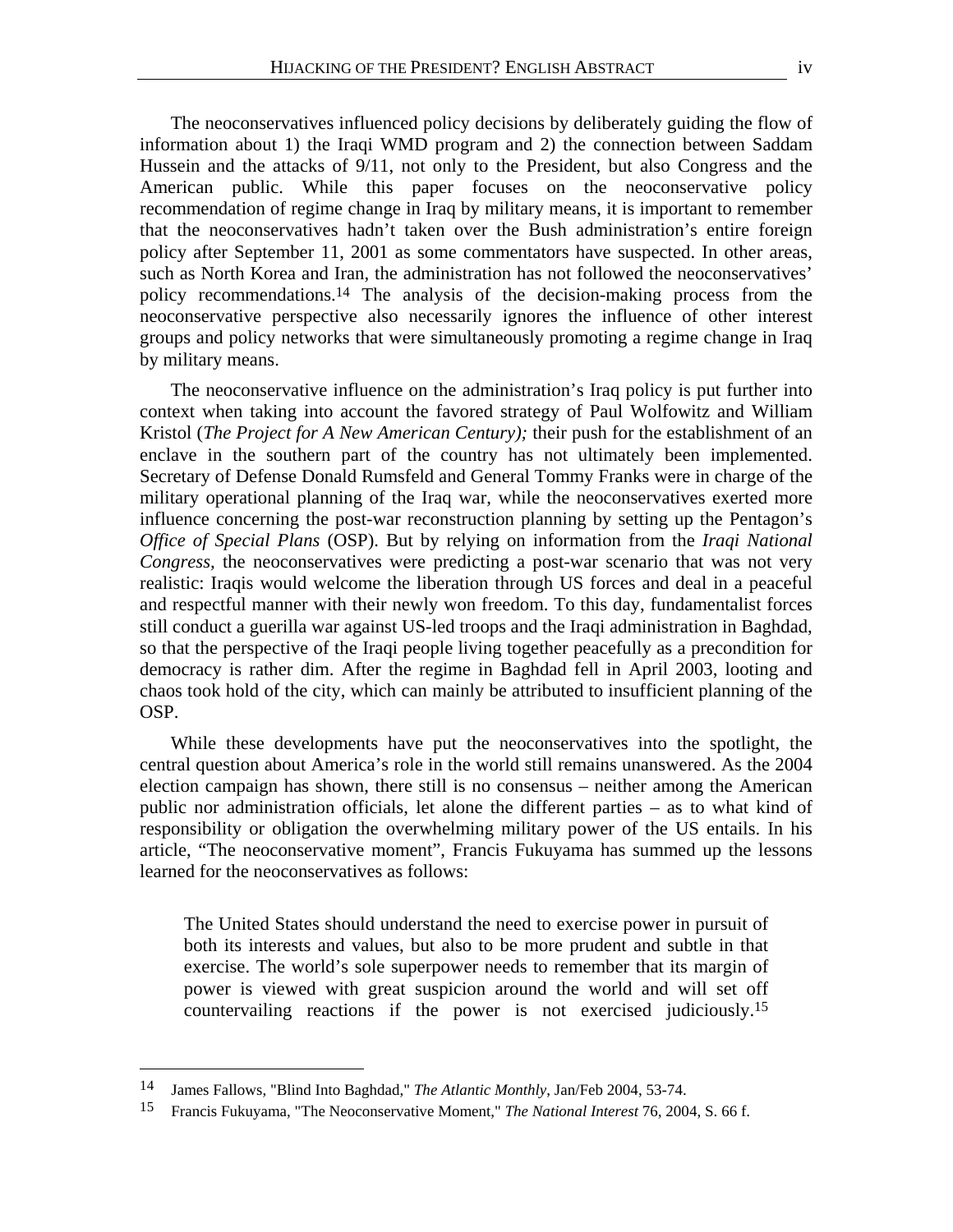The neoconservatives influenced policy decisions by deliberately guiding the flow of information about 1) the Iraqi WMD program and 2) the connection between Saddam Hussein and the attacks of 9/11, not only to the President, but also Congress and the American public. While this paper focuses on the neoconservative policy recommendation of regime change in Iraq by military means, it is important to remember that the neoconservatives hadn't taken over the Bush administration's entire foreign policy after September 11, 2001 as some commentators have suspected. In other areas, such as North Korea and Iran, the administration has not followed the neoconservatives' policy recommendations.[14](#page-3-0) The analysis of the decision-making process from the neoconservative perspective also necessarily ignores the influence of other interest groups and policy networks that were simultaneously promoting a regime change in Iraq by military means.

The neoconservative influence on the administration's Iraq policy is put further into context when taking into account the favored strategy of Paul Wolfowitz and William Kristol (*The Project for A New American Century);* their push for the establishment of an enclave in the southern part of the country has not ultimately been implemented. Secretary of Defense Donald Rumsfeld and General Tommy Franks were in charge of the military operational planning of the Iraq war, while the neoconservatives exerted more influence concerning the post-war reconstruction planning by setting up the Pentagon's *Office of Special Plans* (OSP). But by relying on information from the *Iraqi National Congress,* the neoconservatives were predicting a post-war scenario that was not very realistic: Iraqis would welcome the liberation through US forces and deal in a peaceful and respectful manner with their newly won freedom. To this day, fundamentalist forces still conduct a guerilla war against US-led troops and the Iraqi administration in Baghdad, so that the perspective of the Iraqi people living together peacefully as a precondition for democracy is rather dim. After the regime in Baghdad fell in April 2003, looting and chaos took hold of the city, which can mainly be attributed to insufficient planning of the OSP.

While these developments have put the neoconservatives into the spotlight, the central question about America's role in the world still remains unanswered. As the 2004 election campaign has shown, there still is no consensus – neither among the American public nor administration officials, let alone the different parties – as to what kind of responsibility or obligation the overwhelming military power of the US entails. In his article, "The neoconservative moment", Francis Fukuyama has summed up the lessons learned for the neoconservatives as follows:

The United States should understand the need to exercise power in pursuit of both its interests and values, but also to be more prudent and subtle in that exercise. The world's sole superpower needs to remember that its margin of power is viewed with great suspicion around the world and will set off countervailing reactions if the power is not exercised judiciously.[15](#page-3-1)

<span id="page-3-0"></span><sup>14</sup> James Fallows, "Blind Into Baghdad," *The Atlantic Monthly*, Jan/Feb 2004, 53-74.

<span id="page-3-1"></span><sup>15</sup> Francis Fukuyama, "The Neoconservative Moment," *The National Interest* 76, 2004, S. 66 f.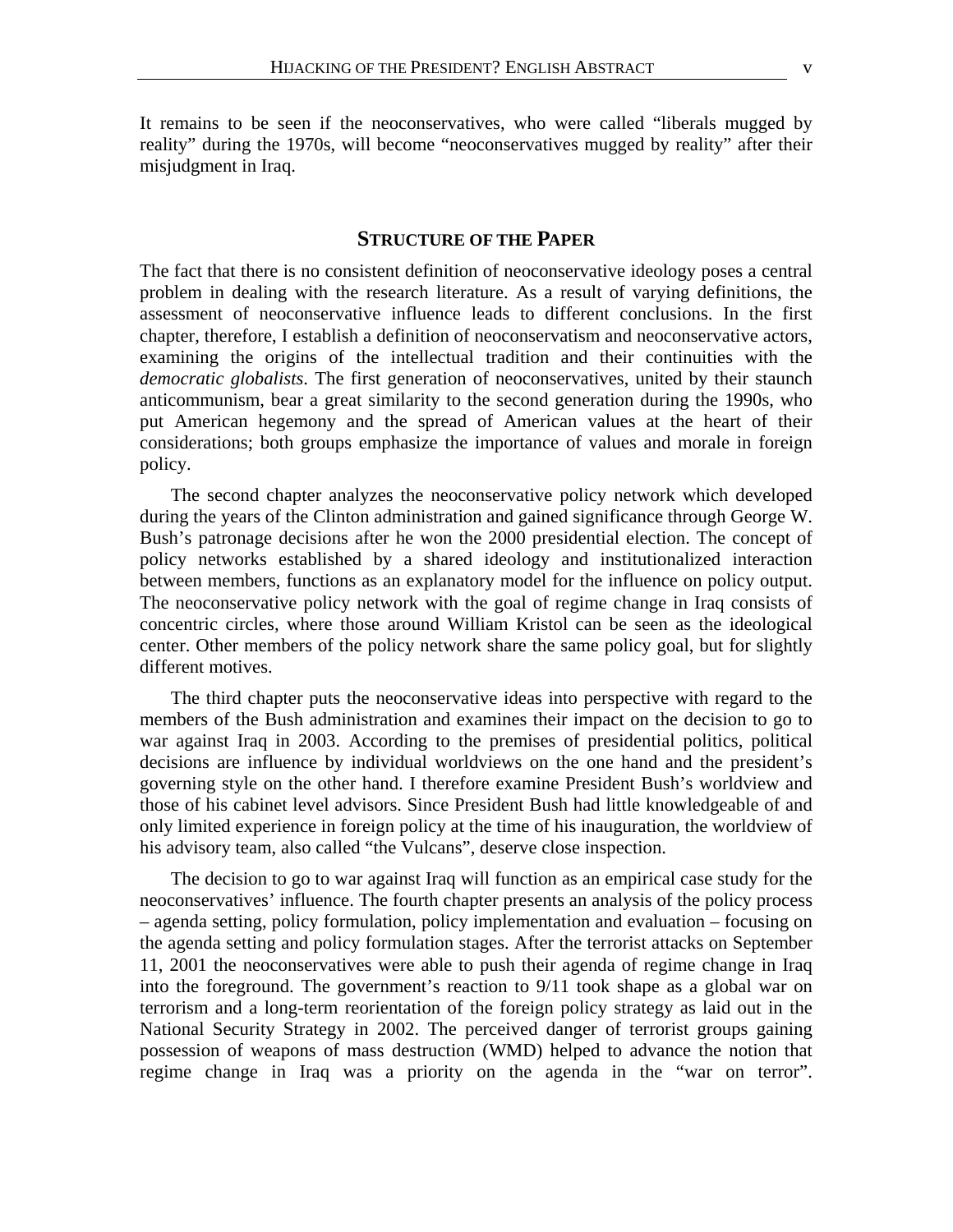It remains to be seen if the neoconservatives, who were called "liberals mugged by reality" during the 1970s, will become "neoconservatives mugged by reality" after their misjudgment in Iraq.

## **STRUCTURE OF THE PAPER**

The fact that there is no consistent definition of neoconservative ideology poses a central problem in dealing with the research literature. As a result of varying definitions, the assessment of neoconservative influence leads to different conclusions. In the first chapter, therefore, I establish a definition of neoconservatism and neoconservative actors, examining the origins of the intellectual tradition and their continuities with the *democratic globalists*. The first generation of neoconservatives, united by their staunch anticommunism, bear a great similarity to the second generation during the 1990s, who put American hegemony and the spread of American values at the heart of their considerations; both groups emphasize the importance of values and morale in foreign policy.

The second chapter analyzes the neoconservative policy network which developed during the years of the Clinton administration and gained significance through George W. Bush's patronage decisions after he won the 2000 presidential election. The concept of policy networks established by a shared ideology and institutionalized interaction between members, functions as an explanatory model for the influence on policy output. The neoconservative policy network with the goal of regime change in Iraq consists of concentric circles, where those around William Kristol can be seen as the ideological center. Other members of the policy network share the same policy goal, but for slightly different motives.

The third chapter puts the neoconservative ideas into perspective with regard to the members of the Bush administration and examines their impact on the decision to go to war against Iraq in 2003. According to the premises of presidential politics, political decisions are influence by individual worldviews on the one hand and the president's governing style on the other hand. I therefore examine President Bush's worldview and those of his cabinet level advisors. Since President Bush had little knowledgeable of and only limited experience in foreign policy at the time of his inauguration, the worldview of his advisory team, also called "the Vulcans", deserve close inspection.

The decision to go to war against Iraq will function as an empirical case study for the neoconservatives' influence. The fourth chapter presents an analysis of the policy process – agenda setting, policy formulation, policy implementation and evaluation – focusing on the agenda setting and policy formulation stages. After the terrorist attacks on September 11, 2001 the neoconservatives were able to push their agenda of regime change in Iraq into the foreground. The government's reaction to 9/11 took shape as a global war on terrorism and a long-term reorientation of the foreign policy strategy as laid out in the National Security Strategy in 2002. The perceived danger of terrorist groups gaining possession of weapons of mass destruction (WMD) helped to advance the notion that regime change in Iraq was a priority on the agenda in the "war on terror".